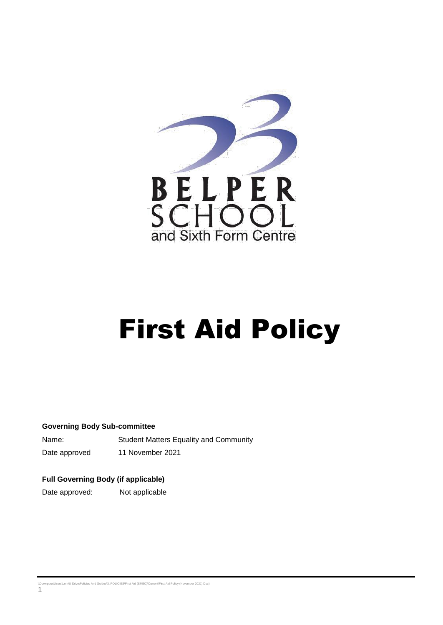

# First Aid Policy

#### **Governing Body Sub-committee**

Name: Student Matters Equality and Community Date approved 11 November 2021

#### **Full Governing Body (if applicable)**

Date approved: Not applicable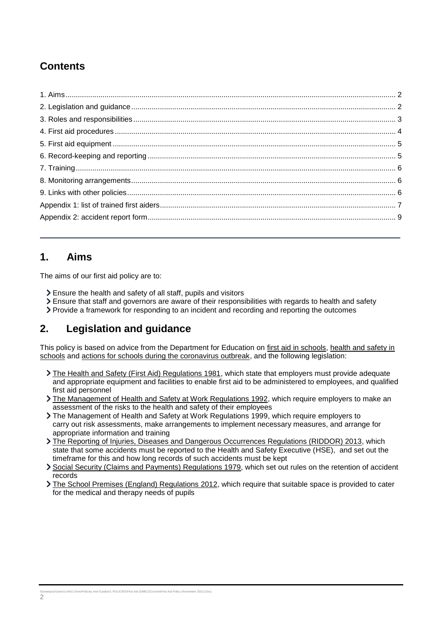## **Contents**

## <span id="page-1-0"></span>**1. Aims**

The aims of our first aid policy are to:

- Ensure the health and safety of all staff, pupils and visitors
- Ensure that staff and governors are aware of their responsibilities with regards to health and safety
- Provide a framework for responding to an incident and recording and reporting the outcomes

## <span id="page-1-1"></span>**2. Legislation and guidance**

This policy is based on advice from the Department for Education on [first aid in schools,](https://www.gov.uk/government/publications/first-aid-in-schools) [health and safety in](https://www.gov.uk/government/publications/health-and-safety-advice-for-schools)  [schools](https://www.gov.uk/government/publications/health-and-safety-advice-for-schools) and [actions for schools during the coronavirus outbreak,](https://www.gov.uk/government/publications/actions-for-schools-during-the-coronavirus-outbreak) and the following legislation:

- [The Health and Safety \(First Aid\) Regulations 1981,](http://www.legislation.gov.uk/uksi/1981/917/regulation/3/made) which state that employers must provide adequate and appropriate equipment and facilities to enable first aid to be administered to employees, and qualified first aid personnel
- [The Management of Health and Safety at Work Regulations 1992,](http://www.legislation.gov.uk/uksi/1992/2051/regulation/3/made) which require employers to make an assessment of the risks to the health and safety of their employees
- [The Management of Health and Safety at Work Regulations 1999,](http://www.legislation.gov.uk/uksi/1999/3242/contents/made) which require employers to carry out risk assessments, make arrangements to implement necessary measures, and arrange for appropriate information and training
- [The Reporting of Injuries, Diseases and Dangerous Occurrences Regulations \(RIDDOR\) 2013,](http://www.legislation.gov.uk/uksi/2013/1471/schedule/1/paragraph/1/made) which state that some accidents must be reported to the Health and Safety Executive (HSE), and set out the timeframe for this and how long records of such accidents must be kept
- [Social Security \(Claims and Payments\) Regulations 1979,](http://www.legislation.gov.uk/uksi/1979/628) which set out rules on the retention of accident records
- > [The School Premises \(England\) Regulations 2012,](http://www.legislation.gov.uk/uksi/2012/1943/regulation/5/made) which require that suitable space is provided to cater for the medical and therapy needs of pupils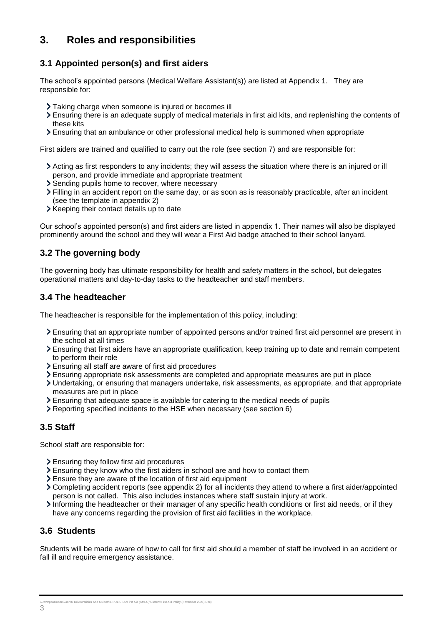## <span id="page-2-0"></span>**3. Roles and responsibilities**

#### **3.1 Appointed person(s) and first aiders**

The school's appointed persons (Medical Welfare Assistant(s)) are listed at Appendix 1. They are responsible for:

- Taking charge when someone is injured or becomes ill
- Ensuring there is an adequate supply of medical materials in first aid kits, and replenishing the contents of these kits
- Ensuring that an ambulance or other professional medical help is summoned when appropriate

First aiders are trained and qualified to carry out the role (see section 7) and are responsible for:

- Acting as first responders to any incidents; they will assess the situation where there is an injured or ill person, and provide immediate and appropriate treatment
- Sending pupils home to recover, where necessary
- Filling in an accident report on the same day, or as soon as is reasonably practicable, after an incident (see the template in appendix 2)
- $\triangleright$  Keeping their contact details up to date

Our school's appointed person(s) and first aiders are listed in appendix 1. Their names will also be displayed prominently around the school and they will wear a First Aid badge attached to their school lanyard.

#### **3.2 The governing body**

The governing body has ultimate responsibility for health and safety matters in the school, but delegates operational matters and day-to-day tasks to the headteacher and staff members.

#### **3.4 The headteacher**

The headteacher is responsible for the implementation of this policy, including:

- Ensuring that an appropriate number of appointed persons and/or trained first aid personnel are present in the school at all times
- Ensuring that first aiders have an appropriate qualification, keep training up to date and remain competent to perform their role
- Ensuring all staff are aware of first aid procedures
- Ensuring appropriate risk assessments are completed and appropriate measures are put in place
- Undertaking, or ensuring that managers undertake, risk assessments, as appropriate, and that appropriate measures are put in place
- Ensuring that adequate space is available for catering to the medical needs of pupils
- Reporting specified incidents to the HSE when necessary (see section 6)

#### **3.5 Staff**

School staff are responsible for:

- Ensuring they follow first aid procedures
- Ensuring they know who the first aiders in school are and how to contact them
- Ensure they are aware of the location of first aid equipment
- Completing accident reports (see appendix 2) for all incidents they attend to where a first aider/appointed person is not called. This also includes instances where staff sustain injury at work.
- Informing the headteacher or their manager of any specific health conditions or first aid needs, or if they have any concerns regarding the provision of first aid facilities in the workplace.

#### **3.6 Students**

Students will be made aware of how to call for first aid should a member of staff be involved in an accident or fall ill and require emergency assistance.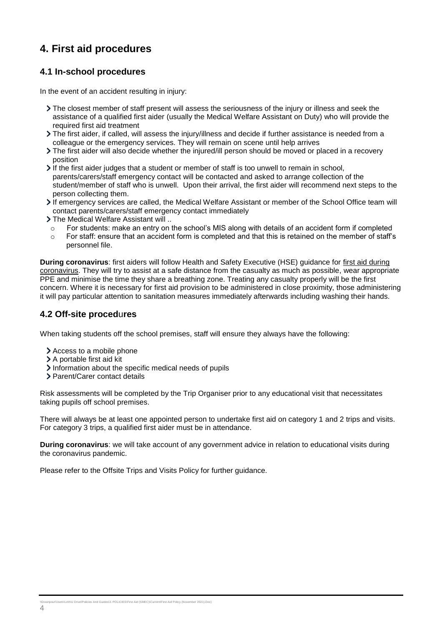## <span id="page-3-0"></span>**4. First aid procedures**

#### **4.1 In-school procedures**

In the event of an accident resulting in injury:

- The closest member of staff present will assess the seriousness of the injury or illness and seek the assistance of a qualified first aider (usually the Medical Welfare Assistant on Duty) who will provide the required first aid treatment
- The first aider, if called, will assess the injury/illness and decide if further assistance is needed from a colleague or the emergency services. They will remain on scene until help arrives
- The first aider will also decide whether the injured/ill person should be moved or placed in a recovery position
- If the first aider judges that a student or member of staff is too unwell to remain in school, parents/carers/staff emergency contact will be contacted and asked to arrange collection of the student/member of staff who is unwell. Upon their arrival, the first aider will recommend next steps to the person collecting them.
- If emergency services are called, the Medical Welfare Assistant or member of the School Office team will contact parents/carers/staff emergency contact immediately
- The Medical Welfare Assistant will ..
- o For students: make an entry on the school's MIS along with details of an accident form if completed
- o For staff: ensure that an accident form is completed and that this is retained on the member of staff's personnel file.

**During coronavirus**: first aiders will follow Health and Safety Executive (HSE) guidance for [first aid during](https://www.hse.gov.uk/coronavirus/first-aid-and-medicals/first-aid-certificate-coronavirus.htm)  [coronavirus.](https://www.hse.gov.uk/coronavirus/first-aid-and-medicals/first-aid-certificate-coronavirus.htm) They will try to assist at a safe distance from the casualty as much as possible, wear appropriate PPE and minimise the time they share a breathing zone. Treating any casualty properly will be the first concern. Where it is necessary for first aid provision to be administered in close proximity, those administering it will pay particular attention to sanitation measures immediately afterwards including washing their hands.

#### **4.2 Off-site proced**u**res**

When taking students off the school premises, staff will ensure they always have the following:

- Access to a mobile phone
- > A portable first aid kit
- Information about the specific medical needs of pupils
- > Parent/Carer contact details

Risk assessments will be completed by the Trip Organiser prior to any educational visit that necessitates taking pupils off school premises.

There will always be at least one appointed person to undertake first aid on category 1 and 2 trips and visits. For category 3 trips, a qualified first aider must be in attendance.

**During coronavirus**: we will take account of any government advice in relation to educational visits during the coronavirus pandemic.

Please refer to the Offsite Trips and Visits Policy for further guidance.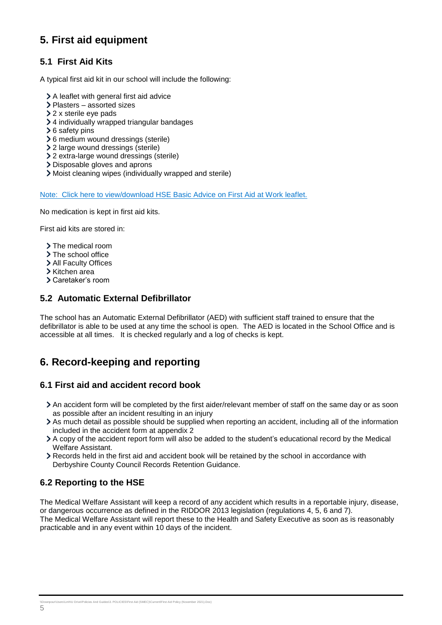## <span id="page-4-0"></span>**5. First aid equipment**

#### **5.1 First Aid Kits**

A typical first aid kit in our school will include the following:

- A leaflet with general first aid advice
- Plasters assorted sizes
- > 2 x sterile eye pads
- 4 individually wrapped triangular bandages
- **>** 6 safety pins
- 6 medium wound dressings (sterile)
- 2 large wound dressings (sterile)
- 2 extra-large wound dressings (sterile)
- Disposable gloves and aprons
- Moist cleaning wipes (individually wrapped and sterile)

[Note: Click here to view/download HSE Basic Advice on First Aid at Work leaflet.](https://www.hse.gov.uk/pubns/indg347.pdf)

No medication is kept in first aid kits.

First aid kits are stored in:

- > The medical room
- > The school office
- > All Faculty Offices
- Kitchen area
- Caretaker's room

#### **5.2 Automatic External Defibrillator**

The school has an Automatic External Defibrillator (AED) with sufficient staff trained to ensure that the defibrillator is able to be used at any time the school is open. The AED is located in the School Office and is accessible at all times. It is checked regularly and a log of checks is kept.

## <span id="page-4-1"></span>**6. Record-keeping and reporting**

#### **6.1 First aid and accident record book**

- An accident form will be completed by the first aider/relevant member of staff on the same day or as soon as possible after an incident resulting in an injury
- As much detail as possible should be supplied when reporting an accident, including all of the information included in the accident form at appendix 2
- A copy of the accident report form will also be added to the student's educational record by the Medical Welfare Assistant.
- Records held in the first aid and accident book will be retained by the school in accordance with Derbyshire County Council Records Retention Guidance.

#### **6.2 Reporting to the HSE**

The Medical Welfare Assistant will keep a record of any accident which results in a reportable injury, disease, or dangerous occurrence as defined in the RIDDOR 2013 legislation (regulations 4, 5, 6 and 7). The Medical Welfare Assistant will report these to the Health and Safety Executive as soon as is reasonably practicable and in any event within 10 days of the incident.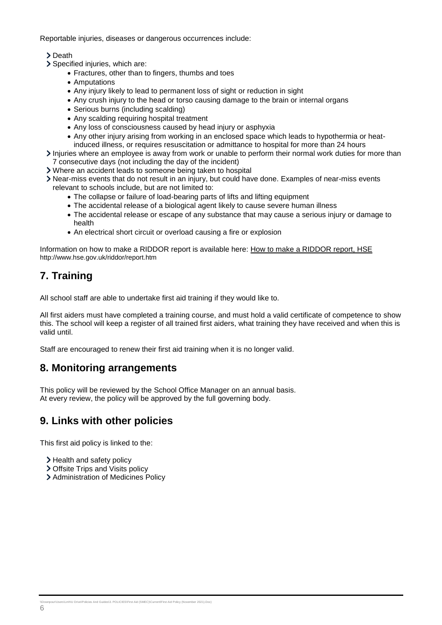Reportable injuries, diseases or dangerous occurrences include:

#### > Death

- Specified injuries, which are:
	- Fractures, other than to fingers, thumbs and toes
	- Amputations
	- Any injury likely to lead to permanent loss of sight or reduction in sight
	- Any crush injury to the head or torso causing damage to the brain or internal organs
	- Serious burns (including scalding)
	- Any scalding requiring hospital treatment
	- Any loss of consciousness caused by head injury or asphyxia
	- Any other injury arising from working in an enclosed space which leads to hypothermia or heat-
	- induced illness, or requires resuscitation or admittance to hospital for more than 24 hours
- Injuries where an employee is away from work or unable to perform their normal work duties for more than 7 consecutive days (not including the day of the incident)
- Where an accident leads to someone being taken to hospital
- Near-miss events that do not result in an injury, but could have done. Examples of near-miss events relevant to schools include, but are not limited to:
	- The collapse or failure of load-bearing parts of lifts and lifting equipment
	- The accidental release of a biological agent likely to cause severe human illness
	- The accidental release or escape of any substance that may cause a serious injury or damage to health
	- An electrical short circuit or overload causing a fire or explosion

Information on how to make a RIDDOR report is available here: [How to make a RIDDOR report, HSE](http://www.hse.gov.uk/riddor/report.htm) http://www.hse.gov.uk/riddor/report.htm

## <span id="page-5-0"></span>**7. Training**

All school staff are able to undertake first aid training if they would like to.

All first aiders must have completed a training course, and must hold a valid certificate of competence to show this. The school will keep a register of all trained first aiders, what training they have received and when this is valid until.

Staff are encouraged to renew their first aid training when it is no longer valid.

## <span id="page-5-1"></span>**8. Monitoring arrangements**

This policy will be reviewed by the School Office Manager on an annual basis. At every review, the policy will be approved by the full governing body.

## <span id="page-5-2"></span>**9. Links with other policies**

This first aid policy is linked to the:

- > Health and safety policy
- > Offsite Trips and Visits policy
- > Administration of Medicines Policy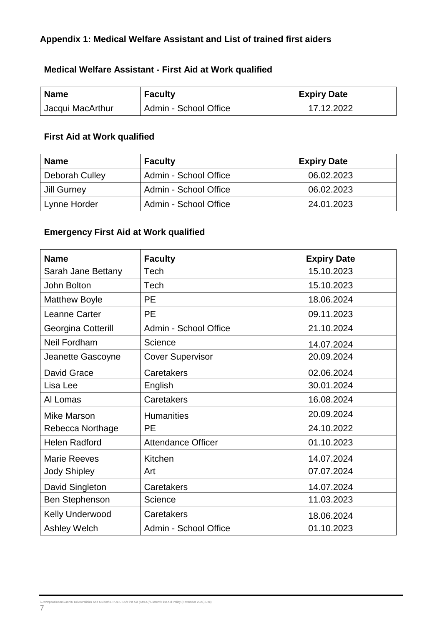## <span id="page-6-0"></span>**Appendix 1: Medical Welfare Assistant and List of trained first aiders**

#### **Medical Welfare Assistant - First Aid at Work qualified**

| <b>Name</b>      | <b>Faculty</b>        | <b>Expiry Date</b> |
|------------------|-----------------------|--------------------|
| Jacqui MacArthur | Admin - School Office | 17.12.2022         |

#### **First Aid at Work qualified**

| <b>Name</b>    | <b>Faculty</b>        | <b>Expiry Date</b> |
|----------------|-----------------------|--------------------|
| Deborah Culley | Admin - School Office | 06.02.2023         |
| Jill Gurney    | Admin - School Office | 06.02.2023         |
| Lynne Horder   | Admin - School Office | 24.01.2023         |

#### **Emergency First Aid at Work qualified**

| <b>Name</b>           | <b>Faculty</b>            | <b>Expiry Date</b> |
|-----------------------|---------------------------|--------------------|
| Sarah Jane Bettany    | Tech                      | 15.10.2023         |
| <b>John Bolton</b>    | Tech                      | 15.10.2023         |
| <b>Matthew Boyle</b>  | PE                        | 18.06.2024         |
| Leanne Carter         | <b>PE</b>                 | 09.11.2023         |
| Georgina Cotterill    | Admin - School Office     | 21.10.2024         |
| Neil Fordham          | Science                   | 14.07.2024         |
| Jeanette Gascoyne     | <b>Cover Supervisor</b>   | 20.09.2024         |
| David Grace           | Caretakers                | 02.06.2024         |
| Lisa Lee              | English                   | 30.01.2024         |
| Al Lomas              | Caretakers                | 16.08.2024         |
| <b>Mike Marson</b>    | <b>Humanities</b>         | 20.09.2024         |
| Rebecca Northage      | <b>PE</b>                 | 24.10.2022         |
| <b>Helen Radford</b>  | <b>Attendance Officer</b> | 01.10.2023         |
| <b>Marie Reeves</b>   | Kitchen                   | 14.07.2024         |
| <b>Jody Shipley</b>   | Art                       | 07.07.2024         |
| David Singleton       | Caretakers                | 14.07.2024         |
| <b>Ben Stephenson</b> | Science                   | 11.03.2023         |
| Kelly Underwood       | Caretakers                | 18.06.2024         |
| <b>Ashley Welch</b>   | Admin - School Office     | 01.10.2023         |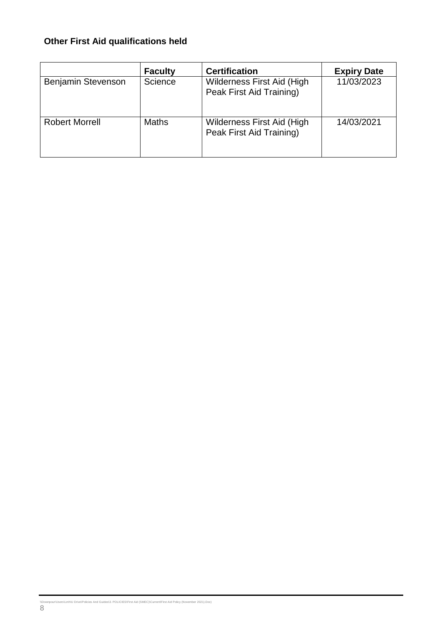# **Other First Aid qualifications held**

|                       | <b>Faculty</b> | <b>Certification</b>                                   | <b>Expiry Date</b> |
|-----------------------|----------------|--------------------------------------------------------|--------------------|
| Benjamin Stevenson    | Science        | Wilderness First Aid (High<br>Peak First Aid Training) | 11/03/2023         |
| <b>Robert Morrell</b> | <b>Maths</b>   | Wilderness First Aid (High<br>Peak First Aid Training) | 14/03/2021         |